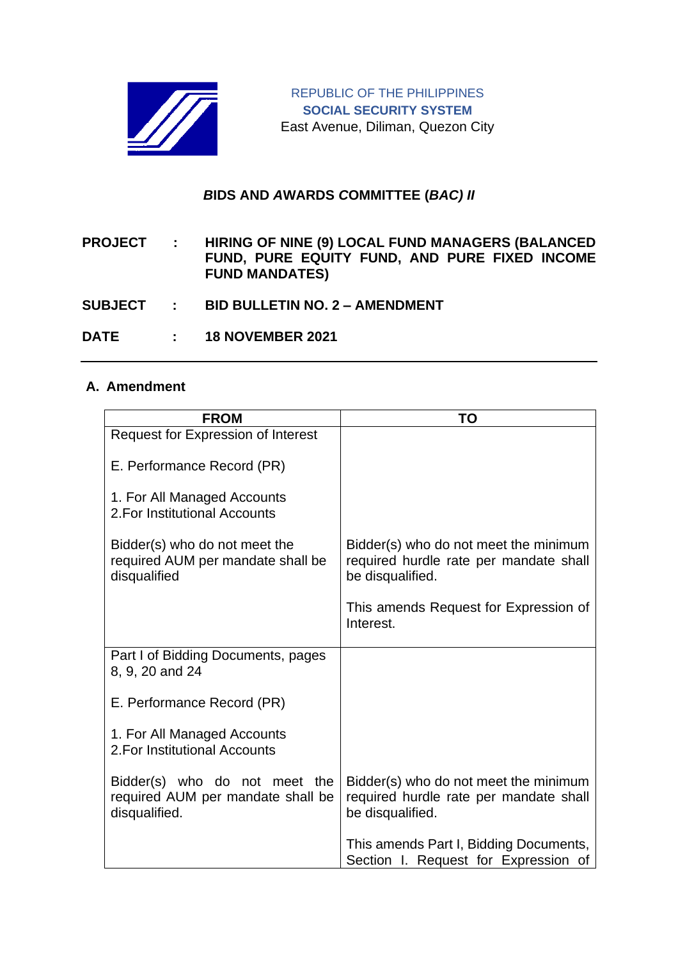

## *B***IDS AND** *A***WARDS** *C***OMMITTEE (***BAC) II*

**PROJECT : HIRING OF NINE (9) LOCAL FUND MANAGERS (BALANCED FUND, PURE EQUITY FUND, AND PURE FIXED INCOME FUND MANDATES)**

- **SUBJECT : BID BULLETIN NO. 2 – AMENDMENT**
- **DATE : 18 NOVEMBER 2021**

## **A. Amendment**

| <b>FROM</b>                                                                         | <b>TO</b>                                                                                           |
|-------------------------------------------------------------------------------------|-----------------------------------------------------------------------------------------------------|
| <b>Request for Expression of Interest</b>                                           |                                                                                                     |
| E. Performance Record (PR)                                                          |                                                                                                     |
| 1. For All Managed Accounts<br>2. For Institutional Accounts                        |                                                                                                     |
| Bidder(s) who do not meet the<br>required AUM per mandate shall be<br>disqualified  | Bidder(s) who do not meet the minimum<br>required hurdle rate per mandate shall<br>be disqualified. |
|                                                                                     | This amends Request for Expression of<br>Interest.                                                  |
| Part I of Bidding Documents, pages<br>8, 9, 20 and 24                               |                                                                                                     |
| E. Performance Record (PR)                                                          |                                                                                                     |
| 1. For All Managed Accounts<br>2. For Institutional Accounts                        |                                                                                                     |
| Bidder(s) who do not meet the<br>required AUM per mandate shall be<br>disqualified. | Bidder(s) who do not meet the minimum<br>required hurdle rate per mandate shall<br>be disqualified. |
|                                                                                     | This amends Part I, Bidding Documents,<br>Section I. Request for Expression of                      |